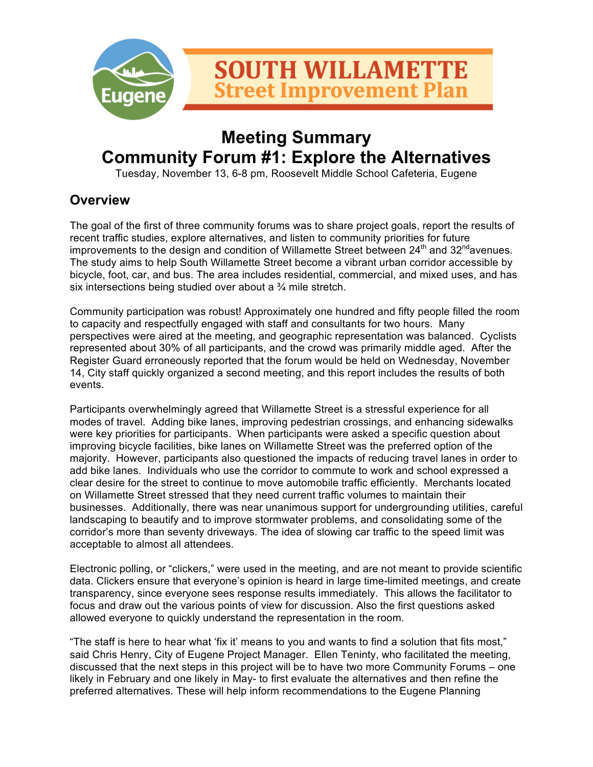

## **Meeting Summary Community Forum #1: Explore the Alternatives**

Tuesday, November 13, 6-8 pm, Roosevelt Middle School Cafeteria, Eugene

## **Overview**

The goal of the first of three community forums was to share project goals, report the results of recent traffic studies, explore alternatives, and listen to community priorities for future improvements to the design and condition of Willamette Street between  $24<sup>th</sup>$  and  $32<sup>nd</sup>$ avenues. The study aims to help South Willamette Street become a vibrant urban corridor accessible by bicycle, foot, car, and bus. The area includes residential, commercial, and mixed uses, and has six intersections being studied over about a ¾ mile stretch.

Community participation was robust! Approximately one hundred and fifty people filled the room to capacity and respectfully engaged with staff and consultants for two hours. Many perspectives were aired at the meeting, and geographic representation was balanced. Cyclists represented about 30% of all participants, and the crowd was primarily middle aged. After the Register Guard erroneously reported that the forum would be held on Wednesday, November 14, City staff quickly organized a second meeting, and this report includes the results of both events.

Participants overwhelmingly agreed that Willamette Street is a stressful experience for all modes of travel. Adding bike lanes, improving pedestrian crossings, and enhancing sidewalks were key priorities for participants. When participants were asked a specific question about improving bicycle facilities, bike lanes on Willamette Street was the preferred option of the majority. However, participants also questioned the impacts of reducing travel lanes in order to add bike lanes. Individuals who use the corridor to commute to work and school expressed a clear desire for the street to continue to move automobile traffic efficiently. Merchants located on Willamette Street stressed that they need current traffic volumes to maintain their businesses. Additionally, there was near unanimous support for undergrounding utilities, careful landscaping to beautify and to improve stormwater problems, and consolidating some of the corridor's more than seventy driveways. The idea of slowing car traffic to the speed limit was acceptable to almost all attendees.

Electronic polling, or "clickers," were used in the meeting, and are not meant to provide scientific data. Clickers ensure that everyone's opinion is heard in large time-limited meetings, and create transparency, since everyone sees response results immediately. This allows the facilitator to focus and draw out the various points of view for discussion. Also the first questions asked allowed everyone to quickly understand the representation in the room.

"The staff is here to hear what 'fix it' means to you and wants to find a solution that fits most," said Chris Henry, City of Eugene Project Manager. Ellen Teninty, who facilitated the meeting, discussed that the next steps in this project will be to have two more Community Forums – one likely in February and one likely in May- to first evaluate the alternatives and then refine the preferred alternatives. These will help inform recommendations to the Eugene Planning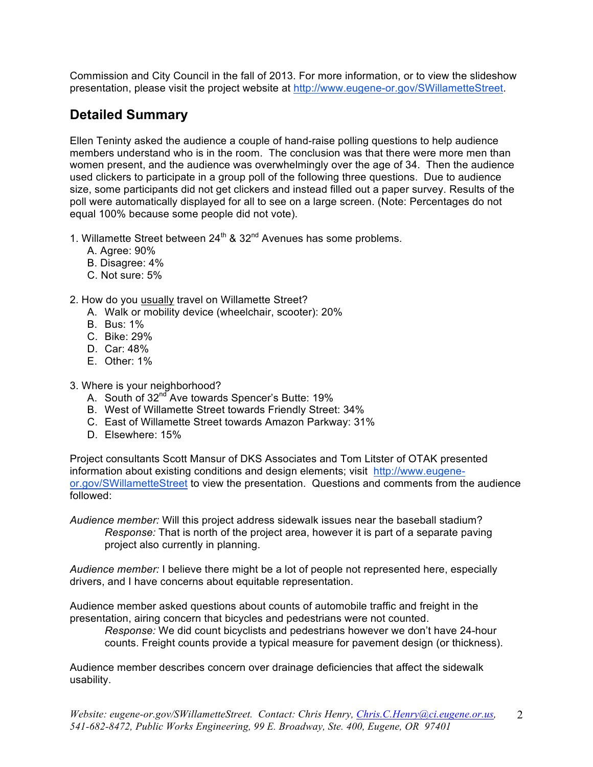Commission and City Council in the fall of 2013. For more information, or to view the slideshow presentation, please visit the project website at http://www.eugene-or.gov/SWillametteStreet.

## **Detailed Summary**

Ellen Teninty asked the audience a couple of hand-raise polling questions to help audience members understand who is in the room. The conclusion was that there were more men than women present, and the audience was overwhelmingly over the age of 34. Then the audience used clickers to participate in a group poll of the following three questions. Due to audience size, some participants did not get clickers and instead filled out a paper survey. Results of the poll were automatically displayed for all to see on a large screen. (Note: Percentages do not equal 100% because some people did not vote).

- 1. Willamette Street between  $24^{th}$  &  $32^{nd}$  Avenues has some problems.
	- A. Agree: 90%
	- B. Disagree: 4%
	- C. Not sure: 5%
- 2. How do you usually travel on Willamette Street?
	- A. Walk or mobility device (wheelchair, scooter): 20%
	- B. Bus: 1%
	- C. Bike: 29%
	- D. Car: 48%
	- E. Other: 1%
- 3. Where is your neighborhood?
	- A. South of  $32^{nd}$  Ave towards Spencer's Butte: 19%
	- B. West of Willamette Street towards Friendly Street: 34%
	- C. East of Willamette Street towards Amazon Parkway: 31%
	- D. Elsewhere: 15%

Project consultants Scott Mansur of DKS Associates and Tom Litster of OTAK presented information about existing conditions and design elements; visit http://www.eugeneor.gov/SWillametteStreet to view the presentation. Questions and comments from the audience followed:

*Audience member:* Will this project address sidewalk issues near the baseball stadium? *Response:* That is north of the project area, however it is part of a separate paving project also currently in planning.

*Audience member:* I believe there might be a lot of people not represented here, especially drivers, and I have concerns about equitable representation.

Audience member asked questions about counts of automobile traffic and freight in the presentation, airing concern that bicycles and pedestrians were not counted.

*Response:* We did count bicyclists and pedestrians however we don't have 24-hour counts. Freight counts provide a typical measure for pavement design (or thickness).

Audience member describes concern over drainage deficiencies that affect the sidewalk usability.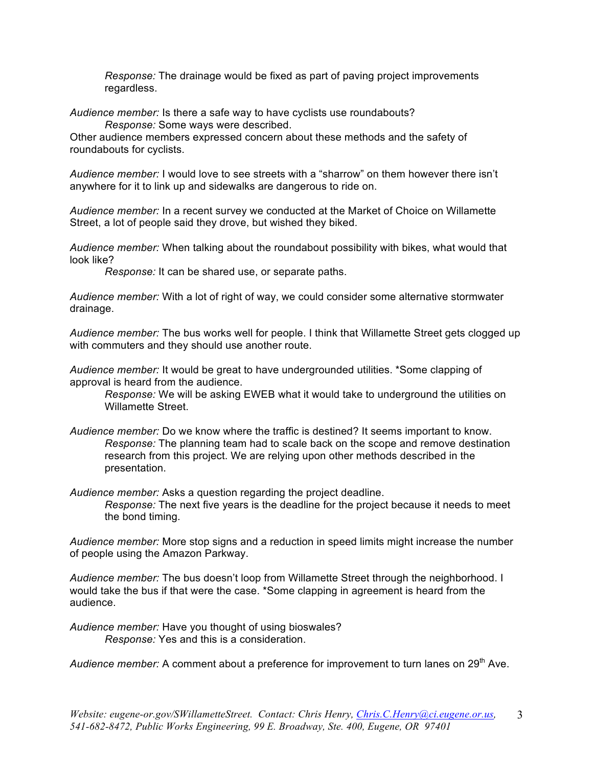*Response:* The drainage would be fixed as part of paving project improvements regardless.

*Audience member:* Is there a safe way to have cyclists use roundabouts? *Response:* Some ways were described.

Other audience members expressed concern about these methods and the safety of roundabouts for cyclists.

*Audience member:* I would love to see streets with a "sharrow" on them however there isn't anywhere for it to link up and sidewalks are dangerous to ride on.

*Audience member:* In a recent survey we conducted at the Market of Choice on Willamette Street, a lot of people said they drove, but wished they biked.

*Audience member:* When talking about the roundabout possibility with bikes, what would that look like?

*Response:* It can be shared use, or separate paths.

*Audience member:* With a lot of right of way, we could consider some alternative stormwater drainage.

*Audience member:* The bus works well for people. I think that Willamette Street gets clogged up with commuters and they should use another route.

*Audience member:* It would be great to have undergrounded utilities. \*Some clapping of approval is heard from the audience.

*Response:* We will be asking EWEB what it would take to underground the utilities on Willamette Street.

*Audience member:* Do we know where the traffic is destined? It seems important to know. *Response:* The planning team had to scale back on the scope and remove destination research from this project. We are relying upon other methods described in the presentation.

*Audience member:* Asks a question regarding the project deadline.

*Response:* The next five years is the deadline for the project because it needs to meet the bond timing.

*Audience member:* More stop signs and a reduction in speed limits might increase the number of people using the Amazon Parkway.

*Audience member:* The bus doesn't loop from Willamette Street through the neighborhood. I would take the bus if that were the case. \*Some clapping in agreement is heard from the audience.

*Audience member:* Have you thought of using bioswales? *Response:* Yes and this is a consideration.

Audience member: A comment about a preference for improvement to turn lanes on 29<sup>th</sup> Ave.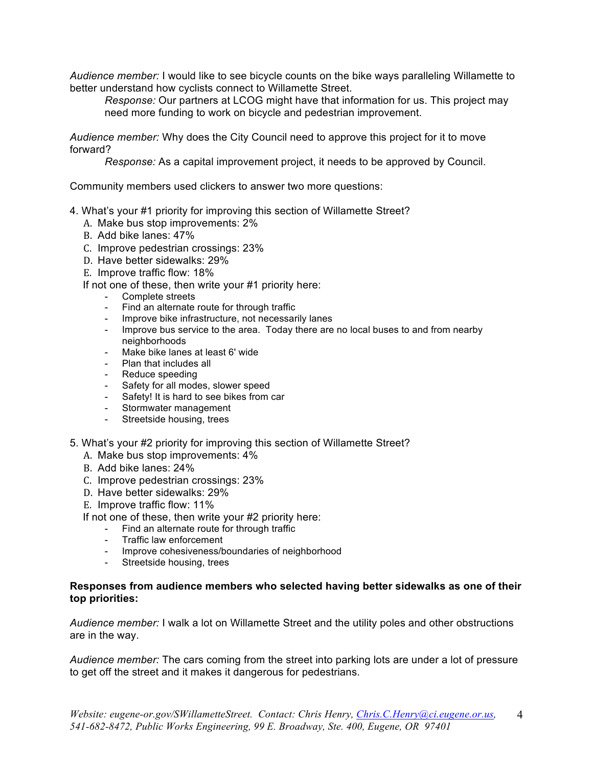*Audience member:* I would like to see bicycle counts on the bike ways paralleling Willamette to better understand how cyclists connect to Willamette Street.

*Response:* Our partners at LCOG might have that information for us. This project may need more funding to work on bicycle and pedestrian improvement.

*Audience member:* Why does the City Council need to approve this project for it to move forward?

*Response:* As a capital improvement project, it needs to be approved by Council.

Community members used clickers to answer two more questions:

- 4. What's your #1 priority for improving this section of Willamette Street?
	- A. Make bus stop improvements: 2%
	- B. Add bike lanes: 47%
	- C. Improve pedestrian crossings: 23%
	- D. Have better sidewalks: 29%
	- E. Improve traffic flow: 18%
	- If not one of these, then write your #1 priority here:
		- Complete streets
		- Find an alternate route for through traffic
		- Improve bike infrastructure, not necessarily lanes
		- Improve bus service to the area. Today there are no local buses to and from nearby neighborhoods
		- Make bike lanes at least 6' wide
		- Plan that includes all
		- Reduce speeding
		- Safety for all modes, slower speed
		- Safety! It is hard to see bikes from car
		- Stormwater management
		- Streetside housing, trees
- 5. What's your #2 priority for improving this section of Willamette Street?
	- A. Make bus stop improvements: 4%
	- B. Add bike lanes: 24%
	- C. Improve pedestrian crossings: 23%
	- D. Have better sidewalks: 29%
	- E. Improve traffic flow: 11%

If not one of these, then write your #2 priority here:

- Find an alternate route for through traffic
- Traffic law enforcement
- Improve cohesiveness/boundaries of neighborhood
- Streetside housing, trees

#### **Responses from audience members who selected having better sidewalks as one of their top priorities:**

*Audience member:* I walk a lot on Willamette Street and the utility poles and other obstructions are in the way.

*Audience member:* The cars coming from the street into parking lots are under a lot of pressure to get off the street and it makes it dangerous for pedestrians.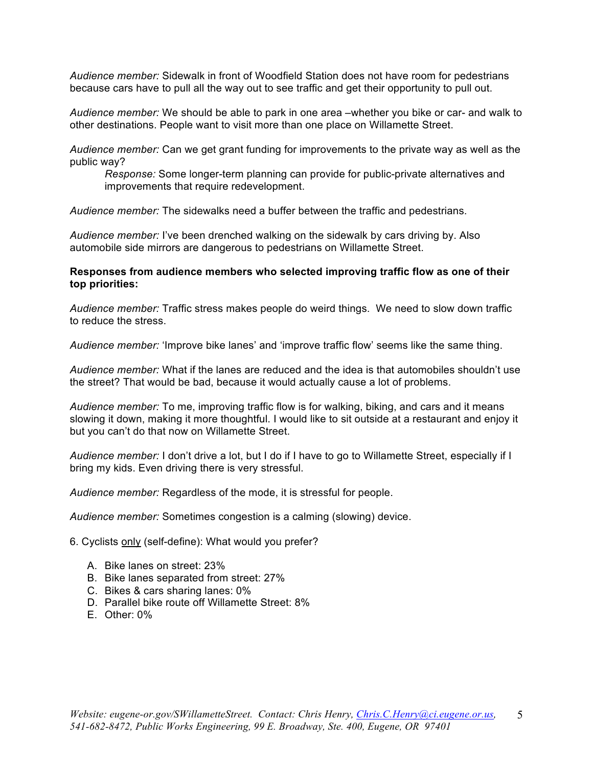*Audience member:* Sidewalk in front of Woodfield Station does not have room for pedestrians because cars have to pull all the way out to see traffic and get their opportunity to pull out.

*Audience member:* We should be able to park in one area –whether you bike or car- and walk to other destinations. People want to visit more than one place on Willamette Street.

*Audience member:* Can we get grant funding for improvements to the private way as well as the public way?

*Response:* Some longer-term planning can provide for public-private alternatives and improvements that require redevelopment.

*Audience member:* The sidewalks need a buffer between the traffic and pedestrians.

*Audience member:* I've been drenched walking on the sidewalk by cars driving by. Also automobile side mirrors are dangerous to pedestrians on Willamette Street.

#### **Responses from audience members who selected improving traffic flow as one of their top priorities:**

*Audience member:* Traffic stress makes people do weird things. We need to slow down traffic to reduce the stress.

*Audience member:* 'Improve bike lanes' and 'improve traffic flow' seems like the same thing.

*Audience member:* What if the lanes are reduced and the idea is that automobiles shouldn't use the street? That would be bad, because it would actually cause a lot of problems.

*Audience member:* To me, improving traffic flow is for walking, biking, and cars and it means slowing it down, making it more thoughtful. I would like to sit outside at a restaurant and enjoy it but you can't do that now on Willamette Street.

*Audience member:* I don't drive a lot, but I do if I have to go to Willamette Street, especially if I bring my kids. Even driving there is very stressful.

*Audience member:* Regardless of the mode, it is stressful for people.

*Audience member:* Sometimes congestion is a calming (slowing) device.

6. Cyclists only (self-define): What would you prefer?

- A. Bike lanes on street: 23%
- B. Bike lanes separated from street: 27%
- C. Bikes & cars sharing lanes: 0%
- D. Parallel bike route off Willamette Street: 8%
- E. Other: 0%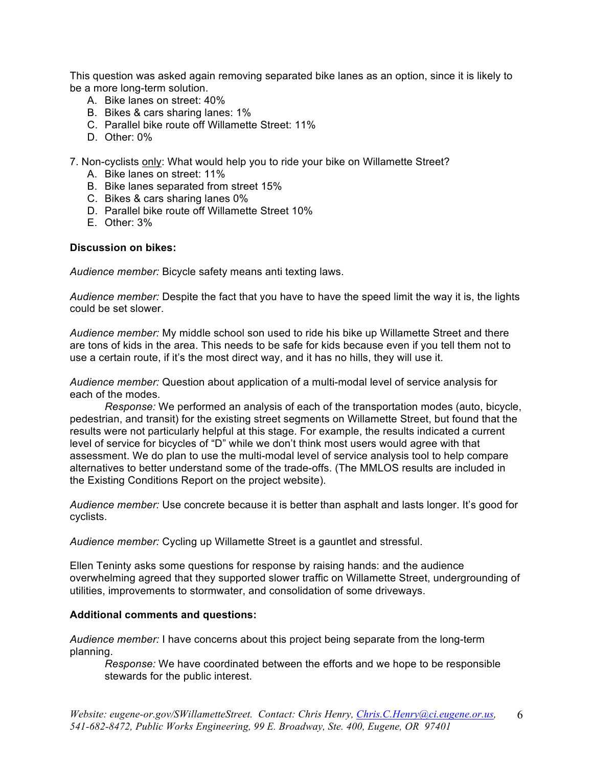This question was asked again removing separated bike lanes as an option, since it is likely to be a more long-term solution.

- A. Bike lanes on street: 40%
- B. Bikes & cars sharing lanes: 1%
- C. Parallel bike route off Willamette Street: 11%
- D. Other: 0%
- 7. Non-cyclists only: What would help you to ride your bike on Willamette Street?
	- A. Bike lanes on street: 11%
	- B. Bike lanes separated from street 15%
	- C. Bikes & cars sharing lanes 0%
	- D. Parallel bike route off Willamette Street 10%
	- E. Other: 3%

#### **Discussion on bikes:**

*Audience member:* Bicycle safety means anti texting laws.

*Audience member:* Despite the fact that you have to have the speed limit the way it is, the lights could be set slower.

*Audience member:* My middle school son used to ride his bike up Willamette Street and there are tons of kids in the area. This needs to be safe for kids because even if you tell them not to use a certain route, if it's the most direct way, and it has no hills, they will use it.

*Audience member:* Question about application of a multi-modal level of service analysis for each of the modes.

*Response:* We performed an analysis of each of the transportation modes (auto, bicycle, pedestrian, and transit) for the existing street segments on Willamette Street, but found that the results were not particularly helpful at this stage. For example, the results indicated a current level of service for bicycles of "D" while we don't think most users would agree with that assessment. We do plan to use the multi-modal level of service analysis tool to help compare alternatives to better understand some of the trade-offs. (The MMLOS results are included in the Existing Conditions Report on the project website).

*Audience member:* Use concrete because it is better than asphalt and lasts longer. It's good for cyclists.

*Audience member:* Cycling up Willamette Street is a gauntlet and stressful.

Ellen Teninty asks some questions for response by raising hands: and the audience overwhelming agreed that they supported slower traffic on Willamette Street, undergrounding of utilities, improvements to stormwater, and consolidation of some driveways.

#### **Additional comments and questions:**

*Audience member:* I have concerns about this project being separate from the long-term planning.

*Response:* We have coordinated between the efforts and we hope to be responsible stewards for the public interest.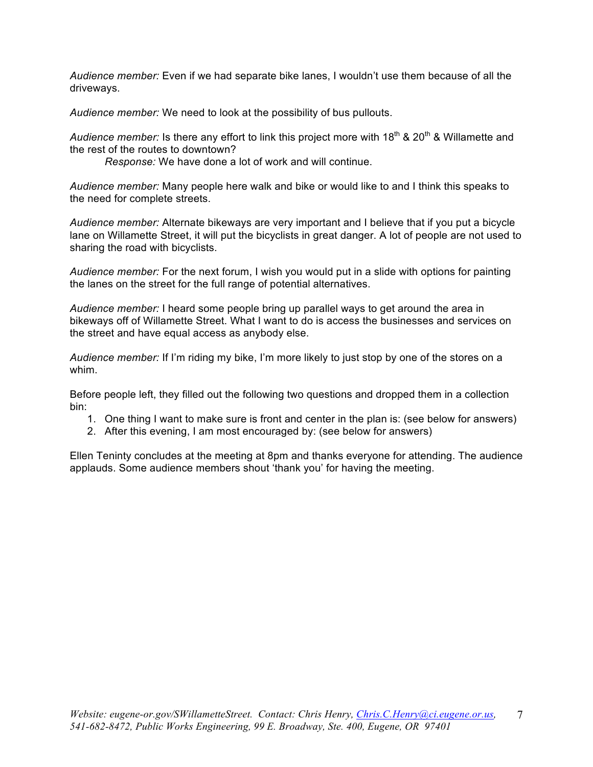*Audience member:* Even if we had separate bike lanes, I wouldn't use them because of all the driveways.

*Audience member:* We need to look at the possibility of bus pullouts.

Audience member: Is there any effort to link this project more with 18<sup>th</sup> & 20<sup>th</sup> & Willamette and the rest of the routes to downtown?

*Response:* We have done a lot of work and will continue.

*Audience member:* Many people here walk and bike or would like to and I think this speaks to the need for complete streets.

*Audience member:* Alternate bikeways are very important and I believe that if you put a bicycle lane on Willamette Street, it will put the bicyclists in great danger. A lot of people are not used to sharing the road with bicyclists.

*Audience member:* For the next forum, I wish you would put in a slide with options for painting the lanes on the street for the full range of potential alternatives.

*Audience member:* I heard some people bring up parallel ways to get around the area in bikeways off of Willamette Street. What I want to do is access the businesses and services on the street and have equal access as anybody else.

*Audience member:* If I'm riding my bike, I'm more likely to just stop by one of the stores on a whim.

Before people left, they filled out the following two questions and dropped them in a collection bin:

- 1. One thing I want to make sure is front and center in the plan is: (see below for answers)
- 2. After this evening, I am most encouraged by: (see below for answers)

Ellen Teninty concludes at the meeting at 8pm and thanks everyone for attending. The audience applauds. Some audience members shout 'thank you' for having the meeting.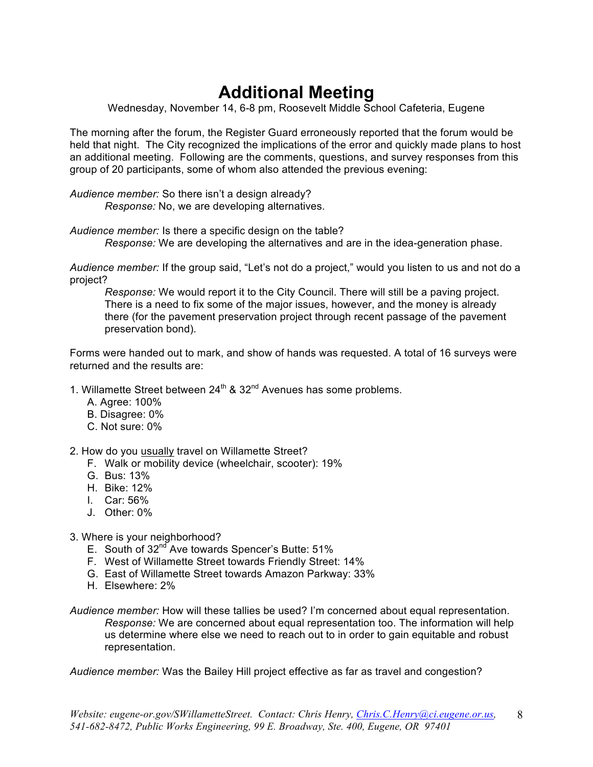# **Additional Meeting**

Wednesday, November 14, 6-8 pm, Roosevelt Middle School Cafeteria, Eugene

The morning after the forum, the Register Guard erroneously reported that the forum would be held that night. The City recognized the implications of the error and quickly made plans to host an additional meeting. Following are the comments, questions, and survey responses from this group of 20 participants, some of whom also attended the previous evening:

*Audience member:* So there isn't a design already? *Response:* No, we are developing alternatives.

*Audience member:* Is there a specific design on the table? *Response:* We are developing the alternatives and are in the idea-generation phase.

*Audience member:* If the group said, "Let's not do a project," would you listen to us and not do a project?

*Response:* We would report it to the City Council. There will still be a paving project. There is a need to fix some of the major issues, however, and the money is already there (for the pavement preservation project through recent passage of the pavement preservation bond).

Forms were handed out to mark, and show of hands was requested. A total of 16 surveys were returned and the results are:

- 1. Willamette Street between  $24^{th}$  &  $32^{nd}$  Avenues has some problems.
	- A. Agree: 100%
	- B. Disagree: 0%
	- C. Not sure: 0%
- 2. How do you usually travel on Willamette Street?
	- F. Walk or mobility device (wheelchair, scooter): 19%
	- G. Bus: 13%
	- H. Bike: 12%
	- I. Car: 56%
	- J. Other: 0%
- 3. Where is your neighborhood?
	- E. South of  $32^{nd}$  Ave towards Spencer's Butte:  $51\%$
	- F. West of Willamette Street towards Friendly Street: 14%
	- G. East of Willamette Street towards Amazon Parkway: 33%
	- H. Elsewhere: 2%
- *Audience member:* How will these tallies be used? I'm concerned about equal representation. *Response:* We are concerned about equal representation too. The information will help us determine where else we need to reach out to in order to gain equitable and robust representation.

*Audience member:* Was the Bailey Hill project effective as far as travel and congestion?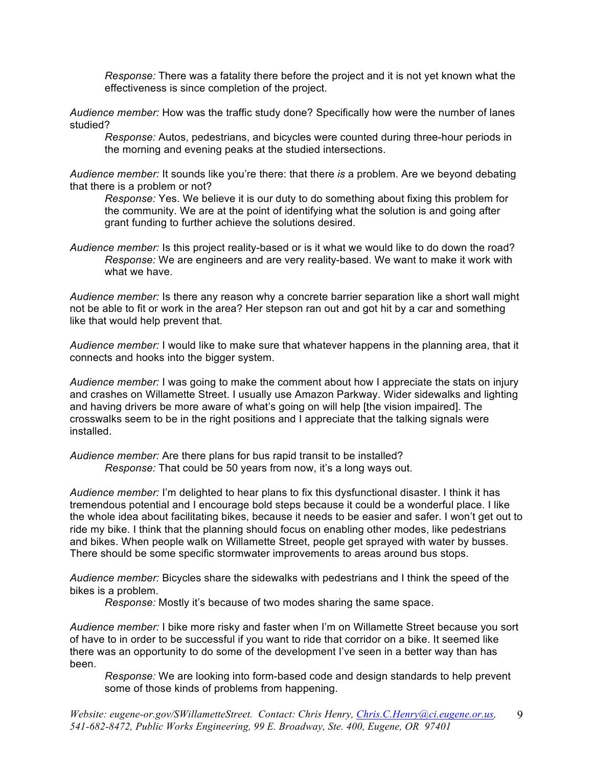*Response:* There was a fatality there before the project and it is not yet known what the effectiveness is since completion of the project.

*Audience member:* How was the traffic study done? Specifically how were the number of lanes studied?

*Response:* Autos, pedestrians, and bicycles were counted during three-hour periods in the morning and evening peaks at the studied intersections.

*Audience member:* It sounds like you're there: that there *is* a problem. Are we beyond debating that there is a problem or not?

*Response:* Yes. We believe it is our duty to do something about fixing this problem for the community. We are at the point of identifying what the solution is and going after grant funding to further achieve the solutions desired.

*Audience member:* Is this project reality-based or is it what we would like to do down the road? *Response:* We are engineers and are very reality-based. We want to make it work with what we have

*Audience member:* Is there any reason why a concrete barrier separation like a short wall might not be able to fit or work in the area? Her stepson ran out and got hit by a car and something like that would help prevent that.

*Audience member:* I would like to make sure that whatever happens in the planning area, that it connects and hooks into the bigger system.

*Audience member:* I was going to make the comment about how I appreciate the stats on injury and crashes on Willamette Street. I usually use Amazon Parkway. Wider sidewalks and lighting and having drivers be more aware of what's going on will help [the vision impaired]. The crosswalks seem to be in the right positions and I appreciate that the talking signals were installed.

*Audience member:* Are there plans for bus rapid transit to be installed? *Response:* That could be 50 years from now, it's a long ways out.

*Audience member:* I'm delighted to hear plans to fix this dysfunctional disaster. I think it has tremendous potential and I encourage bold steps because it could be a wonderful place. I like the whole idea about facilitating bikes, because it needs to be easier and safer. I won't get out to ride my bike. I think that the planning should focus on enabling other modes, like pedestrians and bikes. When people walk on Willamette Street, people get sprayed with water by busses. There should be some specific stormwater improvements to areas around bus stops.

*Audience member:* Bicycles share the sidewalks with pedestrians and I think the speed of the bikes is a problem.

*Response:* Mostly it's because of two modes sharing the same space.

*Audience member:* I bike more risky and faster when I'm on Willamette Street because you sort of have to in order to be successful if you want to ride that corridor on a bike. It seemed like there was an opportunity to do some of the development I've seen in a better way than has been.

*Response:* We are looking into form-based code and design standards to help prevent some of those kinds of problems from happening.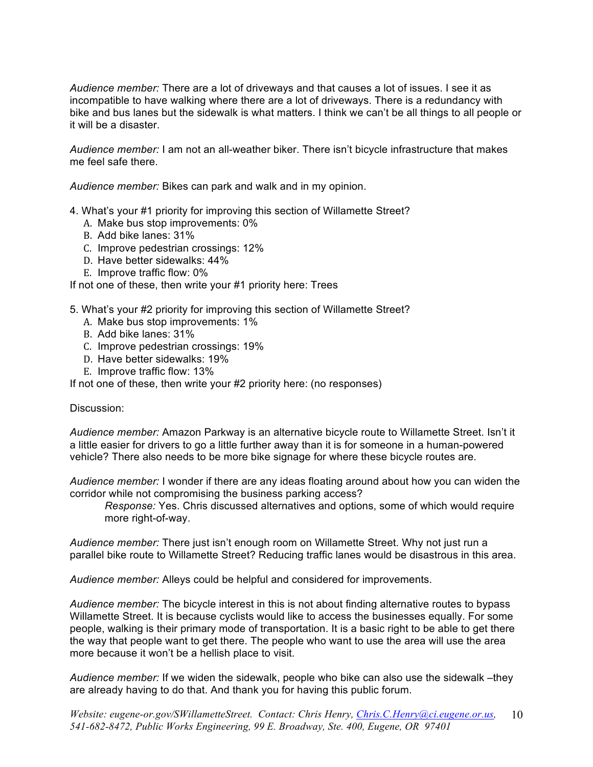*Audience member:* There are a lot of driveways and that causes a lot of issues. I see it as incompatible to have walking where there are a lot of driveways. There is a redundancy with bike and bus lanes but the sidewalk is what matters. I think we can't be all things to all people or it will be a disaster.

*Audience member:* I am not an all-weather biker. There isn't bicycle infrastructure that makes me feel safe there.

*Audience member:* Bikes can park and walk and in my opinion.

- 4. What's your #1 priority for improving this section of Willamette Street?
	- A. Make bus stop improvements: 0%
	- B. Add bike lanes: 31%
	- C. Improve pedestrian crossings: 12%
	- D. Have better sidewalks: 44%
	- E. Improve traffic flow: 0%

If not one of these, then write your #1 priority here: Trees

- 5. What's your #2 priority for improving this section of Willamette Street?
	- A. Make bus stop improvements: 1%
	- B. Add bike lanes: 31%
	- C. Improve pedestrian crossings: 19%
	- D. Have better sidewalks: 19%
	- E. Improve traffic flow: 13%

If not one of these, then write your #2 priority here: (no responses)

#### Discussion:

*Audience member:* Amazon Parkway is an alternative bicycle route to Willamette Street. Isn't it a little easier for drivers to go a little further away than it is for someone in a human-powered vehicle? There also needs to be more bike signage for where these bicycle routes are.

*Audience member:* I wonder if there are any ideas floating around about how you can widen the corridor while not compromising the business parking access?

*Response:* Yes. Chris discussed alternatives and options, some of which would require more right-of-way.

*Audience member:* There just isn't enough room on Willamette Street. Why not just run a parallel bike route to Willamette Street? Reducing traffic lanes would be disastrous in this area.

*Audience member:* Alleys could be helpful and considered for improvements.

*Audience member:* The bicycle interest in this is not about finding alternative routes to bypass Willamette Street. It is because cyclists would like to access the businesses equally. For some people, walking is their primary mode of transportation. It is a basic right to be able to get there the way that people want to get there. The people who want to use the area will use the area more because it won't be a hellish place to visit.

*Audience member:* If we widen the sidewalk, people who bike can also use the sidewalk –they are already having to do that. And thank you for having this public forum.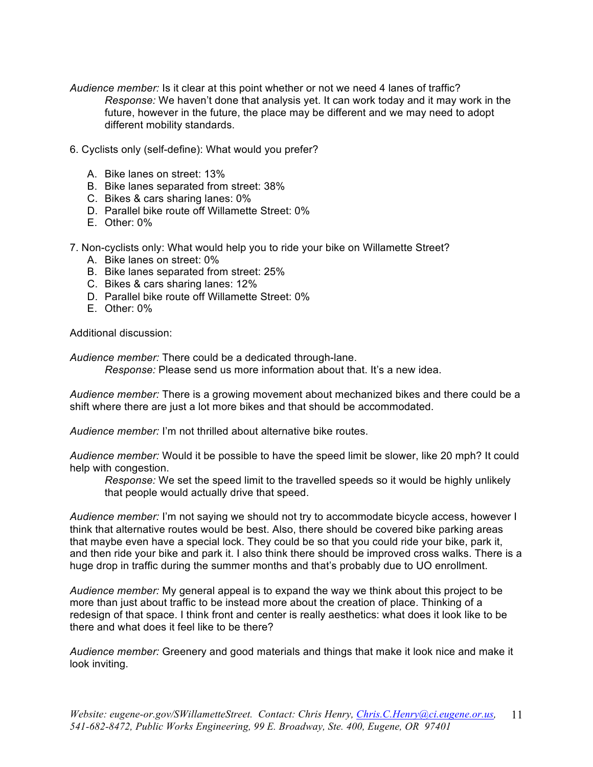- *Audience member:* Is it clear at this point whether or not we need 4 lanes of traffic? *Response:* We haven't done that analysis yet. It can work today and it may work in the future, however in the future, the place may be different and we may need to adopt different mobility standards.
- 6. Cyclists only (self-define): What would you prefer?
	- A. Bike lanes on street: 13%
	- B. Bike lanes separated from street: 38%
	- C. Bikes & cars sharing lanes: 0%
	- D. Parallel bike route off Willamette Street: 0%
	- E. Other: 0%
- 7. Non-cyclists only: What would help you to ride your bike on Willamette Street?
	- A. Bike lanes on street: 0%
	- B. Bike lanes separated from street: 25%
	- C. Bikes & cars sharing lanes: 12%
	- D. Parallel bike route off Willamette Street: 0%
	- E. Other: 0%

Additional discussion:

*Audience member:* There could be a dedicated through-lane.

*Response:* Please send us more information about that. It's a new idea.

*Audience member:* There is a growing movement about mechanized bikes and there could be a shift where there are just a lot more bikes and that should be accommodated.

*Audience member:* I'm not thrilled about alternative bike routes.

*Audience member:* Would it be possible to have the speed limit be slower, like 20 mph? It could help with congestion.

*Response:* We set the speed limit to the travelled speeds so it would be highly unlikely that people would actually drive that speed.

*Audience member:* I'm not saying we should not try to accommodate bicycle access, however I think that alternative routes would be best. Also, there should be covered bike parking areas that maybe even have a special lock. They could be so that you could ride your bike, park it, and then ride your bike and park it. I also think there should be improved cross walks. There is a huge drop in traffic during the summer months and that's probably due to UO enrollment.

*Audience member:* My general appeal is to expand the way we think about this project to be more than just about traffic to be instead more about the creation of place. Thinking of a redesign of that space. I think front and center is really aesthetics: what does it look like to be there and what does it feel like to be there?

*Audience member:* Greenery and good materials and things that make it look nice and make it look inviting.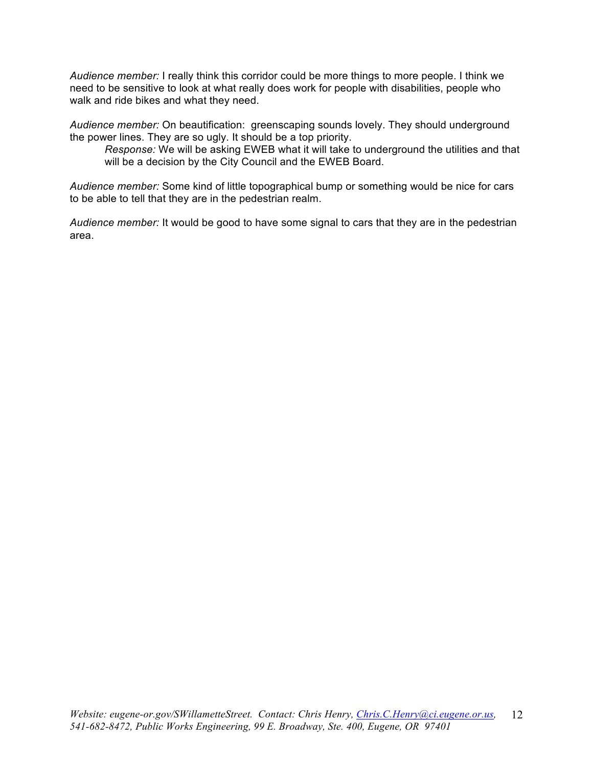*Audience member:* I really think this corridor could be more things to more people. I think we need to be sensitive to look at what really does work for people with disabilities, people who walk and ride bikes and what they need.

*Audience member:* On beautification: greenscaping sounds lovely. They should underground the power lines. They are so ugly. It should be a top priority.

*Response:* We will be asking EWEB what it will take to underground the utilities and that will be a decision by the City Council and the EWEB Board.

*Audience member:* Some kind of little topographical bump or something would be nice for cars to be able to tell that they are in the pedestrian realm.

*Audience member:* It would be good to have some signal to cars that they are in the pedestrian area.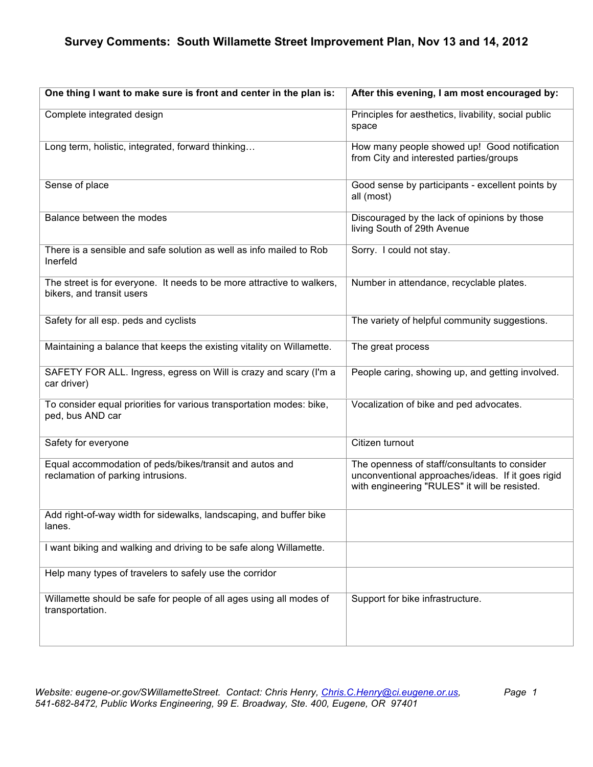| One thing I want to make sure is front and center in the plan is:                                   | After this evening, I am most encouraged by:                                                                                                        |
|-----------------------------------------------------------------------------------------------------|-----------------------------------------------------------------------------------------------------------------------------------------------------|
| Complete integrated design                                                                          | Principles for aesthetics, livability, social public<br>space                                                                                       |
| Long term, holistic, integrated, forward thinking                                                   | How many people showed up! Good notification<br>from City and interested parties/groups                                                             |
| Sense of place                                                                                      | Good sense by participants - excellent points by<br>all (most)                                                                                      |
| Balance between the modes                                                                           | Discouraged by the lack of opinions by those<br>living South of 29th Avenue                                                                         |
| There is a sensible and safe solution as well as info mailed to Rob<br>Inerfeld                     | Sorry. I could not stay.                                                                                                                            |
| The street is for everyone. It needs to be more attractive to walkers,<br>bikers, and transit users | Number in attendance, recyclable plates.                                                                                                            |
| Safety for all esp. peds and cyclists                                                               | The variety of helpful community suggestions.                                                                                                       |
| Maintaining a balance that keeps the existing vitality on Willamette.                               | The great process                                                                                                                                   |
| SAFETY FOR ALL. Ingress, egress on Will is crazy and scary (I'm a<br>car driver)                    | People caring, showing up, and getting involved.                                                                                                    |
| To consider equal priorities for various transportation modes: bike,<br>ped, bus AND car            | Vocalization of bike and ped advocates.                                                                                                             |
| Safety for everyone                                                                                 | Citizen turnout                                                                                                                                     |
| Equal accommodation of peds/bikes/transit and autos and<br>reclamation of parking intrusions.       | The openness of staff/consultants to consider<br>unconventional approaches/ideas. If it goes rigid<br>with engineering "RULES" it will be resisted. |
| Add right-of-way width for sidewalks, landscaping, and buffer bike<br>lanes.                        |                                                                                                                                                     |
| I want biking and walking and driving to be safe along Willamette.                                  |                                                                                                                                                     |
| Help many types of travelers to safely use the corridor                                             |                                                                                                                                                     |
| Willamette should be safe for people of all ages using all modes of<br>transportation.              | Support for bike infrastructure.                                                                                                                    |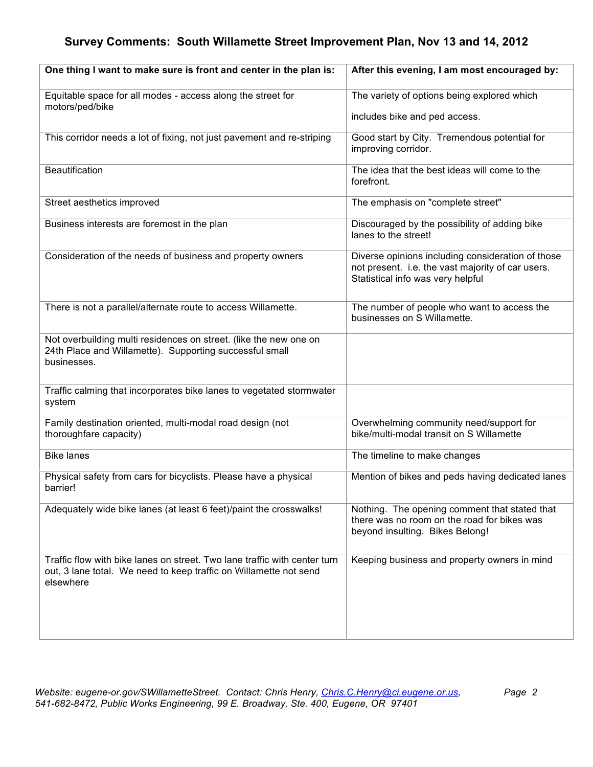| One thing I want to make sure is front and center in the plan is:                                                                                           | After this evening, I am most encouraged by:                                                                                                |
|-------------------------------------------------------------------------------------------------------------------------------------------------------------|---------------------------------------------------------------------------------------------------------------------------------------------|
| Equitable space for all modes - access along the street for<br>motors/ped/bike                                                                              | The variety of options being explored which                                                                                                 |
|                                                                                                                                                             | includes bike and ped access.                                                                                                               |
| This corridor needs a lot of fixing, not just pavement and re-striping                                                                                      | Good start by City. Tremendous potential for<br>improving corridor.                                                                         |
| <b>Beautification</b>                                                                                                                                       | The idea that the best ideas will come to the<br>forefront.                                                                                 |
| Street aesthetics improved                                                                                                                                  | The emphasis on "complete street"                                                                                                           |
| Business interests are foremost in the plan                                                                                                                 | Discouraged by the possibility of adding bike<br>lanes to the street!                                                                       |
| Consideration of the needs of business and property owners                                                                                                  | Diverse opinions including consideration of those<br>not present. i.e. the vast majority of car users.<br>Statistical info was very helpful |
| There is not a parallel/alternate route to access Willamette.                                                                                               | The number of people who want to access the<br>businesses on S Willamette.                                                                  |
| Not overbuilding multi residences on street. (like the new one on<br>24th Place and Willamette). Supporting successful small<br>businesses.                 |                                                                                                                                             |
| Traffic calming that incorporates bike lanes to vegetated stormwater<br>system                                                                              |                                                                                                                                             |
| Family destination oriented, multi-modal road design (not<br>thoroughfare capacity)                                                                         | Overwhelming community need/support for<br>bike/multi-modal transit on S Willamette                                                         |
| <b>Bike lanes</b>                                                                                                                                           | The timeline to make changes                                                                                                                |
| Physical safety from cars for bicyclists. Please have a physical<br>barrier!                                                                                | Mention of bikes and peds having dedicated lanes                                                                                            |
| Adequately wide bike lanes (at least 6 feet)/paint the crosswalks!                                                                                          | Nothing. The opening comment that stated that<br>there was no room on the road for bikes was<br>beyond insulting. Bikes Belong!             |
| Traffic flow with bike lanes on street. Two lane traffic with center turn<br>out, 3 lane total. We need to keep traffic on Willamette not send<br>elsewhere | Keeping business and property owners in mind                                                                                                |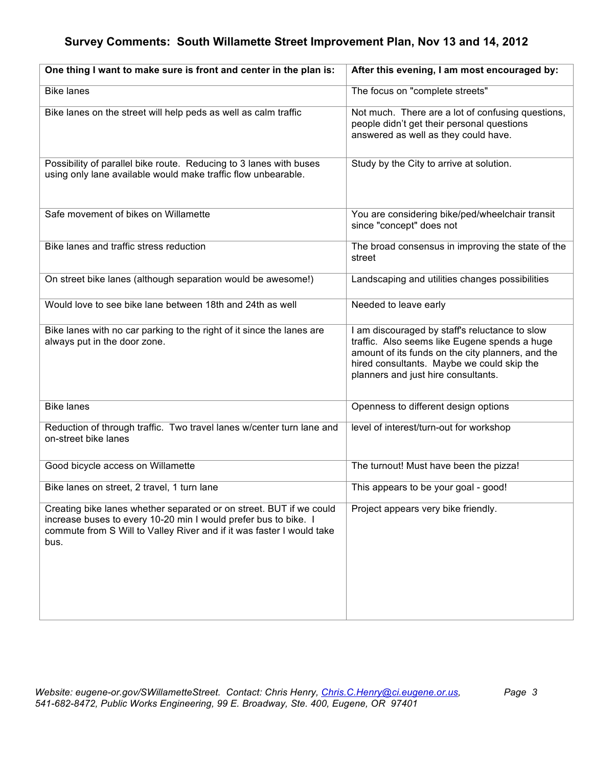| One thing I want to make sure is front and center in the plan is:                                                                                                                                                       | After this evening, I am most encouraged by:                                                                                                                                                                                              |
|-------------------------------------------------------------------------------------------------------------------------------------------------------------------------------------------------------------------------|-------------------------------------------------------------------------------------------------------------------------------------------------------------------------------------------------------------------------------------------|
| <b>Bike lanes</b>                                                                                                                                                                                                       | The focus on "complete streets"                                                                                                                                                                                                           |
| Bike lanes on the street will help peds as well as calm traffic                                                                                                                                                         | Not much. There are a lot of confusing questions,<br>people didn't get their personal questions<br>answered as well as they could have.                                                                                                   |
| Possibility of parallel bike route. Reducing to 3 lanes with buses<br>using only lane available would make traffic flow unbearable.                                                                                     | Study by the City to arrive at solution.                                                                                                                                                                                                  |
| Safe movement of bikes on Willamette                                                                                                                                                                                    | You are considering bike/ped/wheelchair transit<br>since "concept" does not                                                                                                                                                               |
| Bike lanes and traffic stress reduction                                                                                                                                                                                 | The broad consensus in improving the state of the<br>street                                                                                                                                                                               |
| On street bike lanes (although separation would be awesome!)                                                                                                                                                            | Landscaping and utilities changes possibilities                                                                                                                                                                                           |
| Would love to see bike lane between 18th and 24th as well                                                                                                                                                               | Needed to leave early                                                                                                                                                                                                                     |
| Bike lanes with no car parking to the right of it since the lanes are<br>always put in the door zone.                                                                                                                   | I am discouraged by staff's reluctance to slow<br>traffic. Also seems like Eugene spends a huge<br>amount of its funds on the city planners, and the<br>hired consultants. Maybe we could skip the<br>planners and just hire consultants. |
| <b>Bike lanes</b>                                                                                                                                                                                                       | Openness to different design options                                                                                                                                                                                                      |
| Reduction of through traffic. Two travel lanes w/center turn lane and<br>on-street bike lanes                                                                                                                           | level of interest/turn-out for workshop                                                                                                                                                                                                   |
| Good bicycle access on Willamette                                                                                                                                                                                       | The turnout! Must have been the pizza!                                                                                                                                                                                                    |
| Bike lanes on street, 2 travel, 1 turn lane                                                                                                                                                                             | This appears to be your goal - good!                                                                                                                                                                                                      |
| Creating bike lanes whether separated or on street. BUT if we could<br>increase buses to every 10-20 min I would prefer bus to bike. I<br>commute from S Will to Valley River and if it was faster I would take<br>bus. | Project appears very bike friendly.                                                                                                                                                                                                       |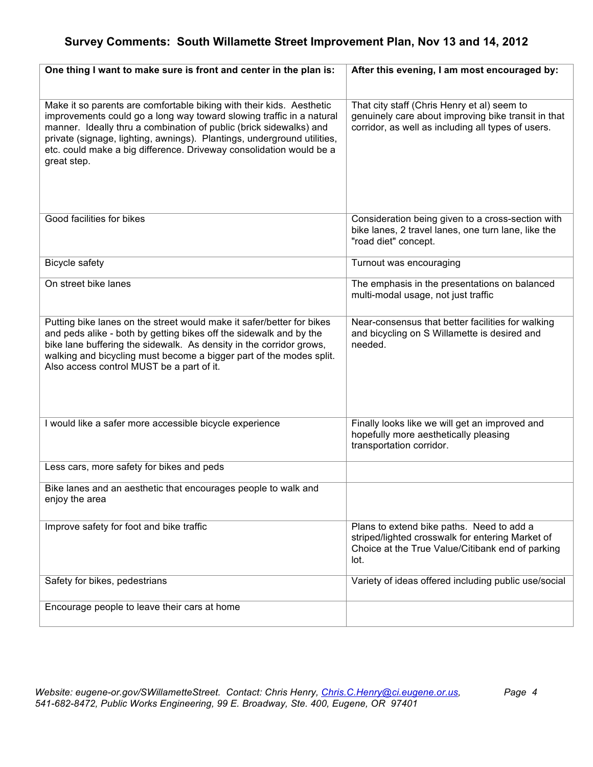| One thing I want to make sure is front and center in the plan is:                                                                                                                                                                                                                                                                                                                   | After this evening, I am most encouraged by:                                                                                                              |
|-------------------------------------------------------------------------------------------------------------------------------------------------------------------------------------------------------------------------------------------------------------------------------------------------------------------------------------------------------------------------------------|-----------------------------------------------------------------------------------------------------------------------------------------------------------|
|                                                                                                                                                                                                                                                                                                                                                                                     |                                                                                                                                                           |
| Make it so parents are comfortable biking with their kids. Aesthetic<br>improvements could go a long way toward slowing traffic in a natural<br>manner. Ideally thru a combination of public (brick sidewalks) and<br>private (signage, lighting, awnings). Plantings, underground utilities,<br>etc. could make a big difference. Driveway consolidation would be a<br>great step. | That city staff (Chris Henry et al) seem to<br>genuinely care about improving bike transit in that<br>corridor, as well as including all types of users.  |
| Good facilities for bikes                                                                                                                                                                                                                                                                                                                                                           | Consideration being given to a cross-section with<br>bike lanes, 2 travel lanes, one turn lane, like the<br>"road diet" concept.                          |
| <b>Bicycle safety</b>                                                                                                                                                                                                                                                                                                                                                               | Turnout was encouraging                                                                                                                                   |
| On street bike lanes                                                                                                                                                                                                                                                                                                                                                                | The emphasis in the presentations on balanced<br>multi-modal usage, not just traffic                                                                      |
| Putting bike lanes on the street would make it safer/better for bikes<br>and peds alike - both by getting bikes off the sidewalk and by the<br>bike lane buffering the sidewalk. As density in the corridor grows,<br>walking and bicycling must become a bigger part of the modes split.<br>Also access control MUST be a part of it.                                              | Near-consensus that better facilities for walking<br>and bicycling on S Willamette is desired and<br>needed.                                              |
| I would like a safer more accessible bicycle experience                                                                                                                                                                                                                                                                                                                             | Finally looks like we will get an improved and<br>hopefully more aesthetically pleasing<br>transportation corridor.                                       |
| Less cars, more safety for bikes and peds                                                                                                                                                                                                                                                                                                                                           |                                                                                                                                                           |
| Bike lanes and an aesthetic that encourages people to walk and<br>enjoy the area                                                                                                                                                                                                                                                                                                    |                                                                                                                                                           |
| Improve safety for foot and bike traffic                                                                                                                                                                                                                                                                                                                                            | Plans to extend bike paths. Need to add a<br>striped/lighted crosswalk for entering Market of<br>Choice at the True Value/Citibank end of parking<br>lot. |
| Safety for bikes, pedestrians                                                                                                                                                                                                                                                                                                                                                       | Variety of ideas offered including public use/social                                                                                                      |
| Encourage people to leave their cars at home                                                                                                                                                                                                                                                                                                                                        |                                                                                                                                                           |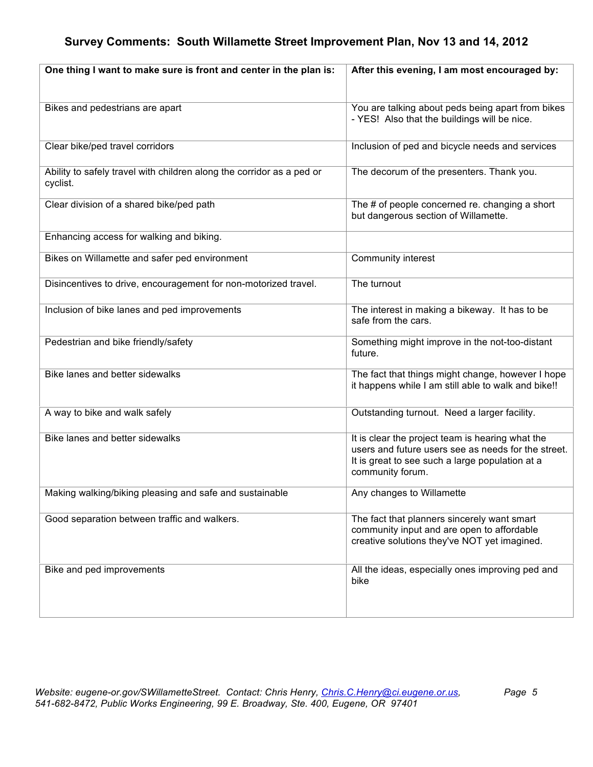| One thing I want to make sure is front and center in the plan is:                 | After this evening, I am most encouraged by:                                                                                                                                   |
|-----------------------------------------------------------------------------------|--------------------------------------------------------------------------------------------------------------------------------------------------------------------------------|
|                                                                                   |                                                                                                                                                                                |
| Bikes and pedestrians are apart                                                   | You are talking about peds being apart from bikes<br>- YES! Also that the buildings will be nice.                                                                              |
| Clear bike/ped travel corridors                                                   | Inclusion of ped and bicycle needs and services                                                                                                                                |
| Ability to safely travel with children along the corridor as a ped or<br>cyclist. | The decorum of the presenters. Thank you.                                                                                                                                      |
| Clear division of a shared bike/ped path                                          | The # of people concerned re. changing a short<br>but dangerous section of Willamette.                                                                                         |
| Enhancing access for walking and biking.                                          |                                                                                                                                                                                |
| Bikes on Willamette and safer ped environment                                     | Community interest                                                                                                                                                             |
| Disincentives to drive, encouragement for non-motorized travel.                   | The turnout                                                                                                                                                                    |
| Inclusion of bike lanes and ped improvements                                      | The interest in making a bikeway. It has to be<br>safe from the cars.                                                                                                          |
| Pedestrian and bike friendly/safety                                               | Something might improve in the not-too-distant<br>future.                                                                                                                      |
| Bike lanes and better sidewalks                                                   | The fact that things might change, however I hope<br>it happens while I am still able to walk and bike!!                                                                       |
| A way to bike and walk safely                                                     | Outstanding turnout. Need a larger facility.                                                                                                                                   |
| Bike lanes and better sidewalks                                                   | It is clear the project team is hearing what the<br>users and future users see as needs for the street.<br>It is great to see such a large population at a<br>community forum. |
| Making walking/biking pleasing and safe and sustainable                           | Any changes to Willamette                                                                                                                                                      |
| Good separation between traffic and walkers.                                      | The fact that planners sincerely want smart<br>community input and are open to affordable<br>creative solutions they've NOT yet imagined.                                      |
| Bike and ped improvements                                                         | All the ideas, especially ones improving ped and<br>bike                                                                                                                       |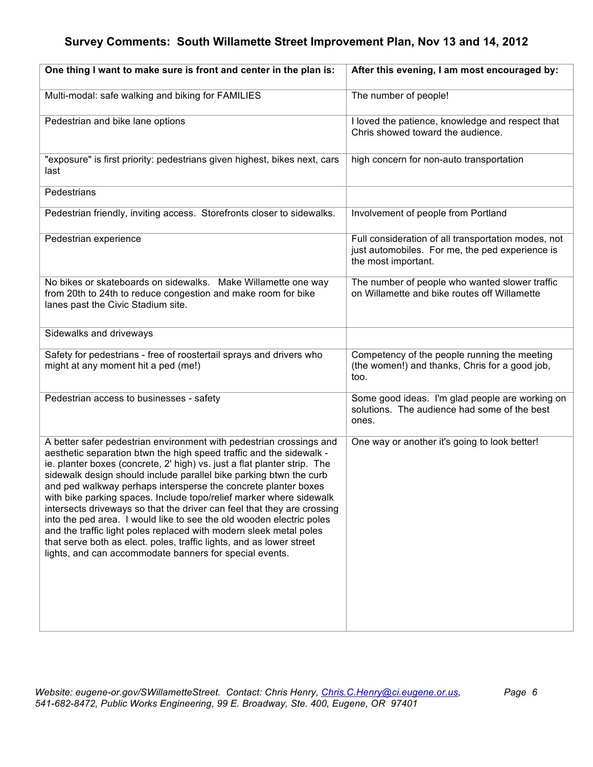| One thing I want to make sure is front and center in the plan is:                                                                                                                                                                                                                                                                                                                                                                                                                                                                                                                                                                                                                                                                                                                                 | After this evening, I am most encouraged by:                                                                                  |
|---------------------------------------------------------------------------------------------------------------------------------------------------------------------------------------------------------------------------------------------------------------------------------------------------------------------------------------------------------------------------------------------------------------------------------------------------------------------------------------------------------------------------------------------------------------------------------------------------------------------------------------------------------------------------------------------------------------------------------------------------------------------------------------------------|-------------------------------------------------------------------------------------------------------------------------------|
| Multi-modal: safe walking and biking for FAMILIES                                                                                                                                                                                                                                                                                                                                                                                                                                                                                                                                                                                                                                                                                                                                                 | The number of people!                                                                                                         |
| Pedestrian and bike lane options                                                                                                                                                                                                                                                                                                                                                                                                                                                                                                                                                                                                                                                                                                                                                                  | I loved the patience, knowledge and respect that<br>Chris showed toward the audience.                                         |
| "exposure" is first priority: pedestrians given highest, bikes next, cars<br>last                                                                                                                                                                                                                                                                                                                                                                                                                                                                                                                                                                                                                                                                                                                 | high concern for non-auto transportation                                                                                      |
| Pedestrians                                                                                                                                                                                                                                                                                                                                                                                                                                                                                                                                                                                                                                                                                                                                                                                       |                                                                                                                               |
| Pedestrian friendly, inviting access. Storefronts closer to sidewalks.                                                                                                                                                                                                                                                                                                                                                                                                                                                                                                                                                                                                                                                                                                                            | Involvement of people from Portland                                                                                           |
| Pedestrian experience                                                                                                                                                                                                                                                                                                                                                                                                                                                                                                                                                                                                                                                                                                                                                                             | Full consideration of all transportation modes, not<br>just automobiles. For me, the ped experience is<br>the most important. |
| No bikes or skateboards on sidewalks. Make Willamette one way<br>from 20th to 24th to reduce congestion and make room for bike<br>lanes past the Civic Stadium site.                                                                                                                                                                                                                                                                                                                                                                                                                                                                                                                                                                                                                              | The number of people who wanted slower traffic<br>on Willamette and bike routes off Willamette                                |
| Sidewalks and driveways                                                                                                                                                                                                                                                                                                                                                                                                                                                                                                                                                                                                                                                                                                                                                                           |                                                                                                                               |
| Safety for pedestrians - free of roostertail sprays and drivers who<br>might at any moment hit a ped (me!)                                                                                                                                                                                                                                                                                                                                                                                                                                                                                                                                                                                                                                                                                        | Competency of the people running the meeting<br>(the women!) and thanks, Chris for a good job,<br>too.                        |
| Pedestrian access to businesses - safety                                                                                                                                                                                                                                                                                                                                                                                                                                                                                                                                                                                                                                                                                                                                                          | Some good ideas. I'm glad people are working on<br>solutions. The audience had some of the best<br>ones.                      |
| A better safer pedestrian environment with pedestrian crossings and<br>aesthetic separation btwn the high speed traffic and the sidewalk -<br>ie. planter boxes (concrete, 2' high) vs. just a flat planter strip. The<br>sidewalk design should include parallel bike parking btwn the curb<br>and ped walkway perhaps intersperse the concrete planter boxes<br>with bike parking spaces. Include topo/relief marker where sidewalk<br>intersects driveways so that the driver can feel that they are crossing<br>into the ped area. I would like to see the old wooden electric poles<br>and the traffic light poles replaced with modern sleek metal poles<br>that serve both as elect. poles, traffic lights, and as lower street<br>lights, and can accommodate banners for special events. | One way or another it's going to look better!                                                                                 |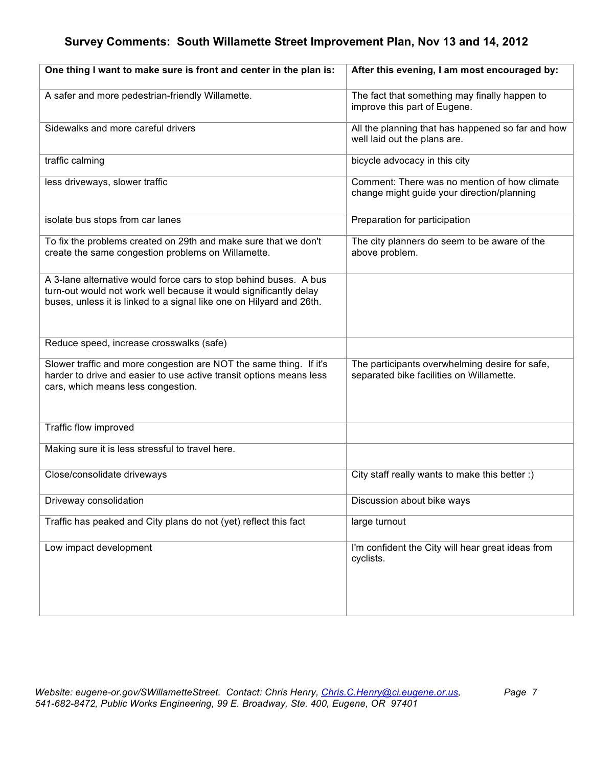| One thing I want to make sure is front and center in the plan is:                                                                                                                                              | After this evening, I am most encouraged by:                                               |
|----------------------------------------------------------------------------------------------------------------------------------------------------------------------------------------------------------------|--------------------------------------------------------------------------------------------|
| A safer and more pedestrian-friendly Willamette.                                                                                                                                                               | The fact that something may finally happen to<br>improve this part of Eugene.              |
| Sidewalks and more careful drivers                                                                                                                                                                             | All the planning that has happened so far and how<br>well laid out the plans are.          |
| traffic calming                                                                                                                                                                                                | bicycle advocacy in this city                                                              |
| less driveways, slower traffic                                                                                                                                                                                 | Comment: There was no mention of how climate<br>change might guide your direction/planning |
| isolate bus stops from car lanes                                                                                                                                                                               | Preparation for participation                                                              |
| To fix the problems created on 29th and make sure that we don't<br>create the same congestion problems on Willamette.                                                                                          | The city planners do seem to be aware of the<br>above problem.                             |
| A 3-lane alternative would force cars to stop behind buses. A bus<br>turn-out would not work well because it would significantly delay<br>buses, unless it is linked to a signal like one on Hilyard and 26th. |                                                                                            |
| Reduce speed, increase crosswalks (safe)                                                                                                                                                                       |                                                                                            |
| Slower traffic and more congestion are NOT the same thing. If it's<br>harder to drive and easier to use active transit options means less<br>cars, which means less congestion.                                | The participants overwhelming desire for safe,<br>separated bike facilities on Willamette. |
| Traffic flow improved                                                                                                                                                                                          |                                                                                            |
| Making sure it is less stressful to travel here.                                                                                                                                                               |                                                                                            |
| Close/consolidate driveways                                                                                                                                                                                    | City staff really wants to make this better :)                                             |
| Driveway consolidation                                                                                                                                                                                         | Discussion about bike ways                                                                 |
| Traffic has peaked and City plans do not (yet) reflect this fact                                                                                                                                               | large turnout                                                                              |
| Low impact development                                                                                                                                                                                         | I'm confident the City will hear great ideas from<br>cyclists.                             |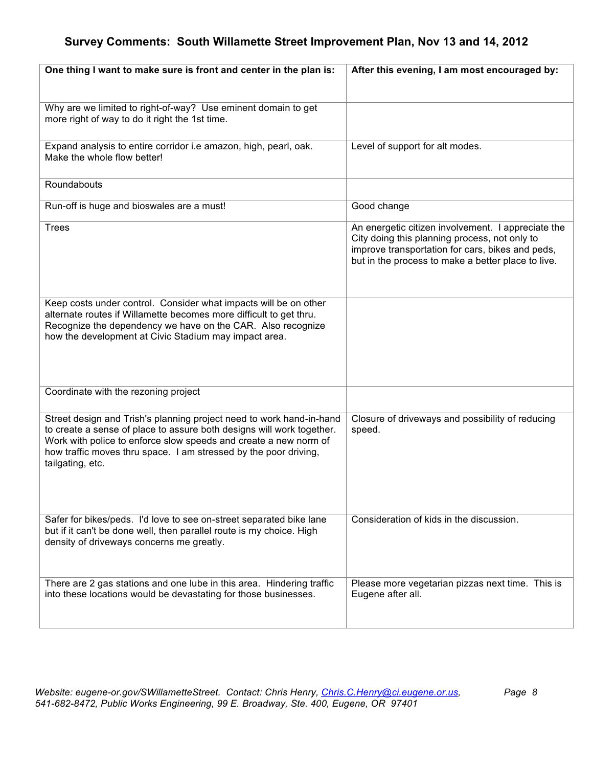| One thing I want to make sure is front and center in the plan is:                                                                                                                                                                                                                                         | After this evening, I am most encouraged by:                                                                                                                                                                  |
|-----------------------------------------------------------------------------------------------------------------------------------------------------------------------------------------------------------------------------------------------------------------------------------------------------------|---------------------------------------------------------------------------------------------------------------------------------------------------------------------------------------------------------------|
|                                                                                                                                                                                                                                                                                                           |                                                                                                                                                                                                               |
| Why are we limited to right-of-way? Use eminent domain to get<br>more right of way to do it right the 1st time.                                                                                                                                                                                           |                                                                                                                                                                                                               |
| Expand analysis to entire corridor i.e amazon, high, pearl, oak.<br>Make the whole flow better!                                                                                                                                                                                                           | Level of support for alt modes.                                                                                                                                                                               |
| Roundabouts                                                                                                                                                                                                                                                                                               |                                                                                                                                                                                                               |
| Run-off is huge and bioswales are a must!                                                                                                                                                                                                                                                                 | Good change                                                                                                                                                                                                   |
| <b>Trees</b>                                                                                                                                                                                                                                                                                              | An energetic citizen involvement. I appreciate the<br>City doing this planning process, not only to<br>improve transportation for cars, bikes and peds,<br>but in the process to make a better place to live. |
| Keep costs under control. Consider what impacts will be on other<br>alternate routes if Willamette becomes more difficult to get thru.<br>Recognize the dependency we have on the CAR. Also recognize<br>how the development at Civic Stadium may impact area.                                            |                                                                                                                                                                                                               |
| Coordinate with the rezoning project                                                                                                                                                                                                                                                                      |                                                                                                                                                                                                               |
| Street design and Trish's planning project need to work hand-in-hand<br>to create a sense of place to assure both designs will work together.<br>Work with police to enforce slow speeds and create a new norm of<br>how traffic moves thru space. I am stressed by the poor driving,<br>tailgating, etc. | Closure of driveways and possibility of reducing<br>speed.                                                                                                                                                    |
| Safer for bikes/peds. I'd love to see on-street separated bike lane<br>but if it can't be done well, then parallel route is my choice. High<br>density of driveways concerns me greatly.                                                                                                                  | Consideration of kids in the discussion.                                                                                                                                                                      |
| There are 2 gas stations and one lube in this area. Hindering traffic<br>into these locations would be devastating for those businesses.                                                                                                                                                                  | Please more vegetarian pizzas next time. This is<br>Eugene after all.                                                                                                                                         |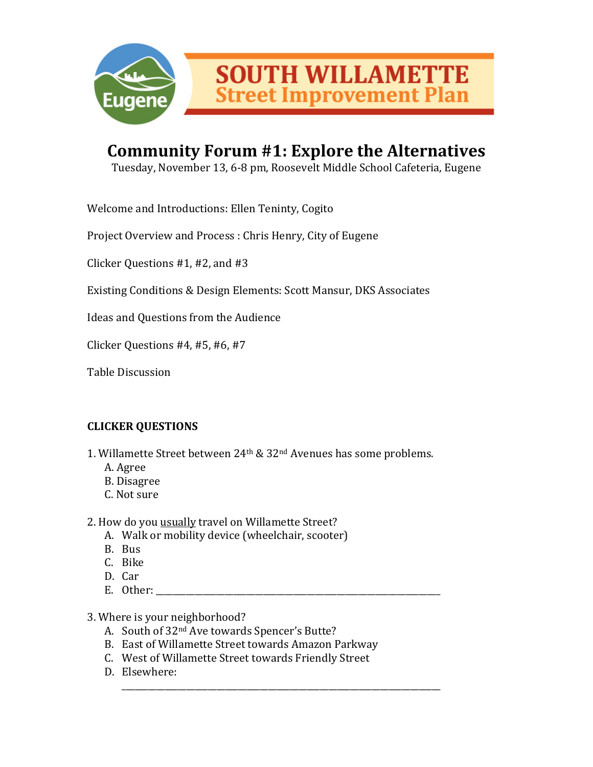

## Community Forum #1: Explore the Alternatives

Tuesday, November 13, 6-8 pm, Roosevelt Middle School Cafeteria, Eugene

Welcome and Introductions: Ellen Teninty, Cogito

Project Overview and Process : Chris Henry, City of Eugene

Clicker Questions  $#1,#2,$  and  $#3$ 

Existing Conditions & Design Elements: Scott Mansur, DKS Associates

Ideas and Questions from the Audience

Clicker Questions  $#4,#5,#6,#7$ 

Table Discussion

#### **CLICKER)QUESTIONS**

- 1. Willamette Street between 24<sup>th</sup> & 32<sup>nd</sup> Avenues has some problems.
	- A. Agree
	- B.)Disagree
	- C. Not sure

2. How do you usually travel on Willamette Street?

- A. Walk or mobility device (wheelchair, scooter)
- B. Bus
- C. Bike
- D. Car
- E. Other:

\_\_\_\_\_\_\_\_\_\_\_\_\_\_\_\_\_\_\_\_\_\_\_\_\_\_\_\_\_\_\_\_\_\_\_\_\_\_\_\_\_\_\_\_\_\_\_\_\_\_\_\_\_\_\_\_\_\_\_\_\_\_\_\_\_\_\_\_\_\_\_\_\_\_

3. Where is your neighborhood?

- A. South of 32<sup>nd</sup> Ave towards Spencer's Butte?
- B. East of Willamette Street towards Amazon Parkway
- C. West of Willamette Street towards Friendly Street
- D. Elsewhere: